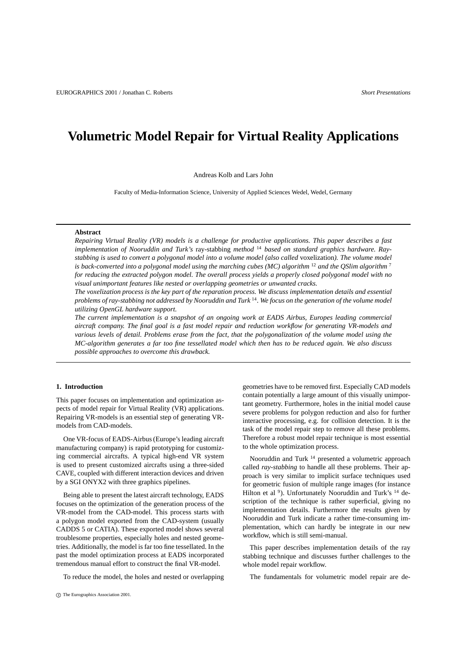# **Volumetric Model Repair for Virtual Reality Applications**

Andreas Kolb and Lars John

Faculty of Media-Information Science, University of Applied Sciences Wedel, Wedel, Germany

#### **Abstract**

*Repairing Virtual Reality (VR) models is a challenge for productive applications. This paper describes a fast implementation of Nooruddin and Turk's* ray-stabbing *method* <sup>14</sup> *based on standard graphics hardware. Ray*stabbing is used to convert a polygonal model into a volume model (also called voxelization). The volume model *is back-converted into a polygonal model using the marching cubes (MC) algorithm* <sup>12</sup> *and the QSlim algorithm* <sup>7</sup> for reducing the extracted polygon model. The overall process yields a properly closed polygonal model with no *visual unimportant features like nested or overlapping geometries or unwanted cracks.*

The voxelization process is the key part of the reparation process. We discuss implementation details and essential problems of ray-stabbing not addressed by Nooruddin and Turk <sup>14</sup>. We focus on the generation of the volume model *utilizing OpenGL hardware support.*

*The current implementation is a snapshot of an ongoing work at EADS Airbus, Europes leading commercial* aircraft company. The final goal is a fast model repair and reduction workflow for generating VR-models and various levels of detail. Problems erase from the fact, that the polygonalization of the volume model using the MC-algorithm generates a far too fine tessellated model which then has to be reduced again. We also discuss *possible approaches to overcome this drawback.*

# **1. Introduction**

This paper focuses on implementation and optimization aspects of model repair for Virtual Reality (VR) applications. Repairing VR-models is an essential step of generating VRmodels from CAD-models.

One VR-focus of EADS-Airbus(Europe's leading aircraft manufacturing company) is rapid prototyping for customizing commercial aircrafts. A typical high-end VR system is used to present customized aircrafts using a three-sided CAVE, coupled with different interaction devices and driven by a SGI ONYX2 with three graphics pipelines.

Being able to present the latest aircraft technology, EADS focuses on the optimization of the generation process of the VR-model from the CAD-model. This process starts with a polygon model exported from the CAD-system (usually CADDS 5 or CATIA). These exported model shows several troublesome properties, especially holes and nested geometries. Additionally, the model is far too fine tessellated. In the past the model optimization process at EADS incorporated tremendous manual effort to construct the final VR-model.

To reduce the model, the holes and nested or overlapping

geometries have to be removed first. Especially CAD models contain potentially a large amount of this visually unimportant geometry. Furthermore, holes in the initial model cause severe problems for polygon reduction and also for further interactive processing, e.g. for collision detection. It is the task of the model repair step to remove all these problems. Therefore a robust model repair technique is most essential to the whole optimization process.

Nooruddin and Turk <sup>14</sup> presented a volumetric approach called *ray-stabbing* to handle all these problems. Their approach is very similar to implicit surface techniques used for geometric fusion of multiple range images (for instance Hilton et al <sup>9</sup>). Unfortunately Nooruddin and Turk's <sup>14</sup> description of the technique is rather superficial, giving no implementation details. Furthermore the results given by Nooruddin and Turk indicate a rather time-consuming implementation, which can hardly be integrate in our new workflow, which is still semi-manual.

This paper describes implementation details of the ray stabbing technique and discusses further challenges to the whole model repair workflow.

The fundamentals for volumetric model repair are de-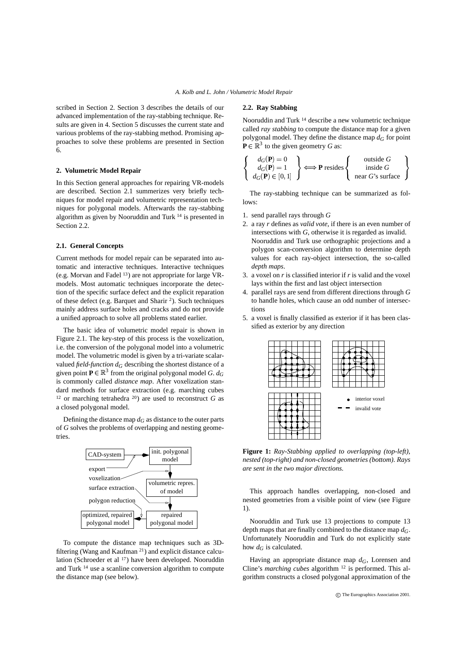scribed in Section 2. Section 3 describes the details of our advanced implementation of the ray-stabbing technique. Results are given in 4. Section 5 discusses the current state and various problems of the ray-stabbing method. Promising approaches to solve these problems are presented in Section 6.

# **2. Volumetric Model Repair**

In this Section general approaches for repairing VR-models are described. Section 2.1 summerizes very briefly techniques for model repair and volumetric representation techniques for polygonal models. Afterwards the ray-stabbing algorithm as given by Nooruddin and Turk <sup>14</sup> is presented in Section 2.2.

#### **2.1. General Concepts**

Current methods for model repair can be separated into automatic and interactive techniques. Interactive techniques (e.g. Morvan and Fadel <sup>13</sup>) are not appropriate for large VRmodels. Most automatic techniques incorporate the detection of the specific surface defect and the explicit reparation of these defect (e.g. Barquet and Sharir <sup>2</sup> ). Such techniques mainly address surface holes and cracks and do not provide a unified approach to solve all problems stated earlier.

The basic idea of volumetric model repair is shown in Figure 2.1. The key-step of this process is the voxelization, i.e. the conversion of the polygonal model into a volumetric model. The volumetric model is given by a tri-variate scalarvalued *field-function*  $d_G$  describing the shortest distance of a given point  $P \in \mathbb{R}^3$  from the original polygonal model *G. d<sub>G</sub>* is commonly called *distance map*. After voxelization standard methods for surface extraction (e.g. marching cubes <sup>12</sup> or marching tetrahedra <sup>20</sup>) are used to reconstruct  $G$  as a closed polygonal model.

Defining the distance map  $d_G$  as distance to the outer parts of *G* solves the problems of overlapping and nesting geometries.



To compute the distance map techniques such as 3Dfiltering (Wang and Kaufman <sup>21</sup>) and explicit distance calculation (Schroeder et al <sup>17</sup>) have been developed. Nooruddin and Turk <sup>14</sup> use a scanline conversion algorithm to compute the distance map (see below).

# **2.2. Ray Stabbing**

Nooruddin and Turk <sup>14</sup> describe a new volumetric technique called *ray stabbing* to compute the distance map for a given polygonal model. They define the distance map  $d_G$  for point  $\mathbf{P} \in \mathbb{R}^3$  to the given geometry *G* as:

$$
\begin{Bmatrix}\n d_G(\mathbf{P}) = 0 \\
 d_G(\mathbf{P}) = 1 \\
 d_G(\mathbf{P}) \in [0, 1]\n\end{Bmatrix} \Longleftrightarrow \mathbf{P} \text{ resides} \begin{Bmatrix}\n \text{outside } G \\
 \text{inside } G \\
 \text{near } G\text{'s surface}\n\end{Bmatrix}
$$

The ray-stabbing technique can be summarized as follows:

- 1. send parallel rays through *G*
- 2. a ray *r* defines as *valid vote*, if there is an even number of intersections with *G*, otherwise it is regarded as invalid. Nooruddin and Turk use orthographic projections and a polygon scan-conversion algorithm to determine depth values for each ray-object intersection, the so-called *depth maps*.
- 3. a voxel on *r* is classified interior if *r* is valid and the voxel lays within the first and last object intersection
- 4. parallel rays are send from different directions through *G* to handle holes, which cause an odd number of intersections
- 5. a voxel is finally classified as exterior if it has been classified as exterior by any direction



**Figure 1:** *Ray-Stabbing applied to overlapping (top-left), nested (top-right) and non-closed geometries (bottom). Rays are sent in the two major directions.*

This approach handles overlapping, non-closed and nested geometries from a visible point of view (see Figure 1).

Nooruddin and Turk use 13 projections to compute 13 depth maps that are finally combined to the distance map *dG*. Unfortunately Nooruddin and Turk do not explicitly state how  $d_G$  is calculated.

Having an appropriate distance map *dG*, Lorensen and Cline's *marching cubes* algorithm <sup>12</sup> is performed. This algorithm constructs a closed polygonal approximation of the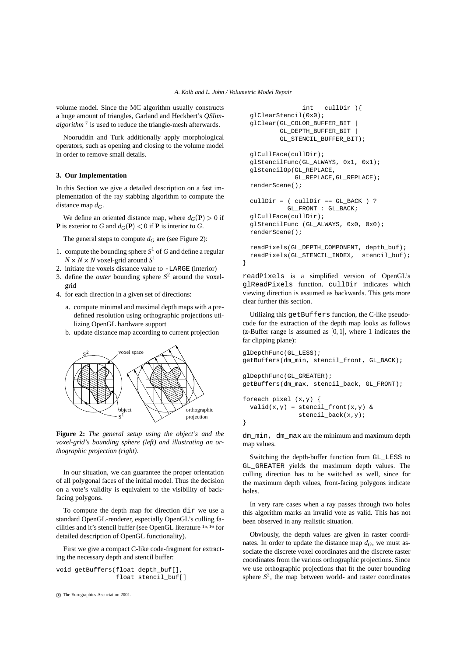volume model. Since the MC algorithm usually constructs a huge amount of triangles, Garland and Heckbert's *QSlimalgorithm* <sup>7</sup> is used to reduce the triangle-mesh afterwards.

Nooruddin and Turk additionally apply morphological operators, such as opening and closing to the volume model in order to remove small details.

# **3. Our Implementation**

In this Section we give a detailed description on a fast implementation of the ray stabbing algorithm to compute the distance map *dG*.

We define an oriented distance map, where  $d_G(\mathbf{P}) > 0$  if **P** is exterior to *G* and  $d_G(P) < 0$  if **P** is interior to *G*.

The general steps to compute  $d_G$  are (see Figure 2):

- 1. compute the bounding sphere  $S^1$  of *G* and define a regular  $N \times N \times N$  voxel-grid around  $S^1$
- 2. initiate the voxels distance value to -LARGE (interior)
- 3. define the *outer* bounding sphere  $S^2$  around the voxelgrid
- 4. for each direction in a given set of directions:
	- a. compute minimal and maximal depth maps with a predefined resolution using orthographic projections utilizing OpenGL hardware support
	- b. update distance map according to current projection



**Figure 2:** *The general setup using the object's and the voxel-grid's bounding sphere (left) and illustrating an orthographic projection (right).*

In our situation, we can guarantee the proper orientation of all polygonal faces of the initial model. Thus the decision on a vote's validity is equivalent to the visibility of backfacing polygons.

To compute the depth map for direction dir we use a standard OpenGL-renderer, especially OpenGL's culling facilities and it's stencil buffer (see OpenGL literature <sup>15, 16</sup> for detailed description of OpenGL functionality).

First we give a compact C-like code-fragment for extracting the necessary depth and stencil buffer:

```
void getBuffers(float depth_buf[],
                float stencil buf[]
```

```
c
The Eurographics Association 2001.
```

```
int cullDir ){
glClearStencil(0x0);
glClear(GL_COLOR_BUFFER_BIT |
        GL_DEPTH_BUFFER_BIT |
        GL_STENCIL_BUFFER_BIT);
glCullFace(cullDir);
glStencilFunc(GL_ALWAYS, 0x1, 0x1);
glStencilOp(GL_REPLACE,
            GL_REPLACE,GL_REPLACE);
renderScene();
cullDir = (  \ncullDir == GL_BACK ) ?GL_FRONT : GL_BACK;
glCullFace(cullDir);
glStencilFunc (GL_ALWAYS, 0x0, 0x0);
renderScene();
readPixels(GL_DEPTH_COMPONENT, depth_buf);
readPixels(GL_STENCIL_INDEX, stencil_buf);
```
}

readPixels is a simplified version of OpenGL's glReadPixels function. cullDir indicates which viewing direction is assumed as backwards. This gets more clear further this section.

Utilizing this getBuffers function, the C-like pseudocode for the extraction of the depth map looks as follows  $(z-Buffer range is assumed as [0,1], where 1 indicates the$ far clipping plane):

```
\setminus \setminus \setminus \setminus \setminus \setminus foreach pixel (x,y) {
!!!!
getBuffers(dm_max, stencil_back, GL_FRONT);
ANISTY \ \ qlDepthFunc(GL_GREATER);
                         glDepthFunc(GL_LESS);
                         getBuffers(dm_min, stencil_front, GL_BACK);
                           valid(x,y) = stencil front(x,y) &
                                        stencil_back(x,y);
                         }
```
dm\_min, dm\_max are the minimum and maximum depth map values.

Switching the depth-buffer function from GL\_LESS to GL\_GREATER yields the maximum depth values. The culling direction has to be switched as well, since for the maximum depth values, front-facing polygons indicate holes.

In very rare cases when a ray passes through two holes this algorithm marks an invalid vote as valid. This has not been observed in any realistic situation.

Obviously, the depth values are given in raster coordinates. In order to update the distance map  $d_G$ , we must associate the discrete voxel coordinates and the discrete raster coordinates from the various orthographic projections. Since we use orthographic projections that fit the outer bounding sphere  $S^2$ , the map between world- and raster coordinates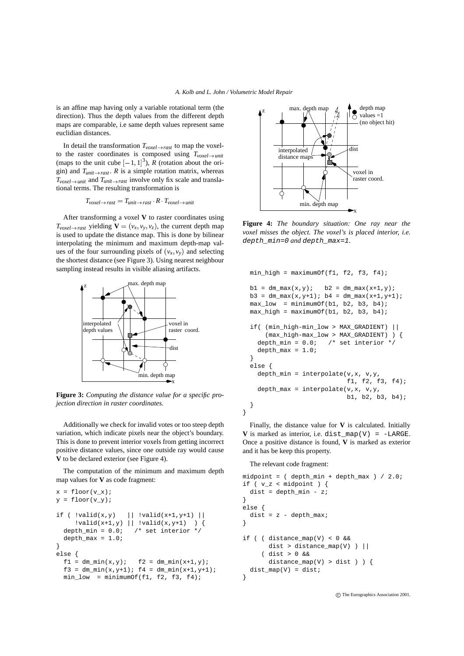is an affine map having only a variable rotational term (the direction). Thus the depth values from the different depth maps are comparable, i.e same depth values represent same euclidian distances.

In detail the transformation  $T_{voxel \rightarrow rast}$  to map the voxelto the raster coordinates is composed using  $T_{voxel \rightarrow unit}$ (maps to the unit cube  $[-1, 1]^3$ ), *R* (rotation about the origin) and  $T_{unit \rightarrow rast}$ . *R* is a simple rotation matrix, whereas  $T_{voxel \rightarrow unit}$  and  $T_{unit \rightarrow rast}$  involve only fix scale and translational terms. The resulting transformation is

$$
T_{voxel \rightarrow \textit{rast}} = T_{unit \rightarrow \textit{rast}} \cdot R \cdot T_{voxel \rightarrow unit}
$$

After transforming a voxel **V** to raster coordinates using  $T_{voxel \rightarrow \text{rast}}$  yielding  $\mathbf{V} = (v_x, v_y, v_z)$ , the current depth map is used to update the distance map. This is done by bilinear interpolating the minimum and maximum depth-map values of the four surrounding pixels of  $(v_x, v_y)$  and selecting the shortest distance (see Figure 3). Using nearest neighbour sampling instead results in visible aliasing artifacts.



**Figure 3:** *Computing the distance value for a specific projection direction in raster coordinates.*

Additionally we check for invalid votes or too steep depth variation, which indicate pixels near the object's boundary. This is done to prevent interior voxels from getting incorrect positive distance values, since one outside ray would cause **V** to be declared exterior (see Figure 4).

The computation of the minimum and maximum depth map values for **V** as code fragment:

```
x = \text{floor}(v_x);y = floor(v_y);if ( |valid(x,y)| = | |valid(x+1,y+1)| |!valid(x+1,y) || !valid(x,y+1) ) {
  depth_min = 0.0; /* set interior */
 depth max = 1.0;
}
else {
  f1 = dm_{min}(x,y); f2 = dm_{min}(x+1,y);
  f3 = dm_{min}(x, y+1); f4 = dm_{min}(x+1, y+1);min low = minimumOf(f1, f2, f3, f4);
```


**Figure 4:** *The boundary situation: One ray near the voxel misses the object. The voxel's is placed interior, i.e.* depth\_min=0 *and* depth\_max=1*.*

```
min_high = maximumOf(f1, f2, f3, f4);
b1 = dm_max(x,y); b2 = dm_max(x+1,y);b3 = dm_max(x,y+1); b4 = dm_max(x+1,y+1);
max_low = minimumOf(b1, b2, b3, b4);max\_high = maximumOf(b1, b2, b3, b4);if( (min_high-min_low > MAX_GRADIENT) ||
    (max_high-max_low > MAX_GRADIENT) ) {
  depth_min = 0.0; /* set interior */
  depth max = 1.0;
}
else {
  depth_min = interpolate(v, x, v, y,
                          f1, f2, f3, f4);
  depth_max = interpolate(v,x, v,y,
                          b1, b2, b3, b4);
}
```
Finally, the distance value for **V** is calculated. Initially  $V$  is marked as interior, i.e. dist\_map(V) =  $-LARGE$ . Once a positive distance is found, **V** is marked as exterior and it has be keep this property.

The relevant code fragment:

}

```
midpoint = ( depth\_min + depth\_max ) / 2.0;if (v_z < midpoint) {
 dist = depth\_min - z;}
else {
 dist = z - depth_max;}
if ( ( distance map(V) < 0 &&
      dist > distance_map(V) ) ||
     ( dist > 0 &&
      distance_map(V) > dist ) ) {
 dist_map(V) = dist;}
```
c The Eurographics Association 2001.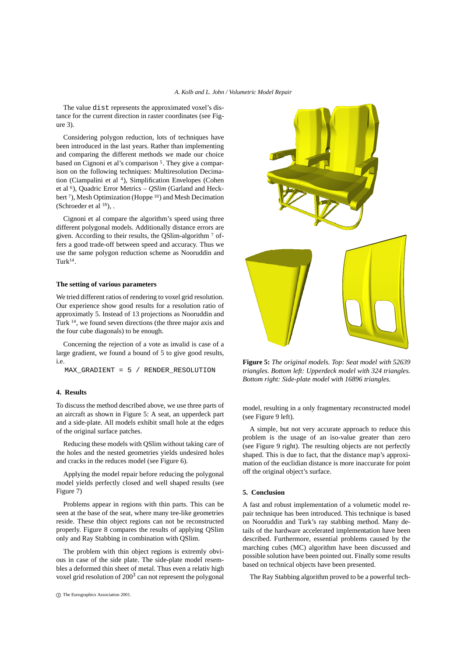The value dist represents the approximated voxel's distance for the current direction in raster coordinates (see Figure 3).

Considering polygon reduction, lots of techniques have been introduced in the last years. Rather than implementing and comparing the different methods we made our choice based on Cignoni et al's comparison <sup>5</sup>. They give a comparison on the following techniques: Multiresolution Decimation (Ciampalini et al <sup>4</sup>), Simplification Envelopes (Cohen et al <sup>6</sup>), Quadric Error Metrics – *QSlim* (Garland and Heckbert<sup>7</sup>), Mesh Optimization (Hoppe<sup>10</sup>) and Mesh Decimation (Schroeder et al  $^{18}$ ), .

Cignoni et al compare the algorithm's speed using three different polygonal models. Additionally distance errors are given. According to their results, the QSlim-algorithm <sup>7</sup> offers a good trade-off between speed and accuracy. Thus we use the same polygon reduction scheme as Nooruddin and  $Turk<sup>14</sup>$ .

#### **The setting of various parameters**

We tried different ratios of rendering to voxel grid resolution. Our experience show good results for a resolution ratio of approximatly 5. Instead of 13 projections as Nooruddin and Turk <sup>14</sup> , we found seven directions (the three major axis and the four cube diagonals) to be enough.

Concerning the rejection of a vote as invalid is case of a large gradient, we found a bound of 5 to give good results, i.e.

MAX\_GRADIENT = 5 / RENDER\_RESOLUTION

#### **4. Results**

To discuss the method described above, we use three parts of an aircraft as shown in Figure 5: A seat, an upperdeck part and a side-plate. All models exhibit small hole at the edges of the original surface patches.

Reducing these models with QSlim without taking care of the holes and the nested geometries yields undesired holes and cracks in the reduces model (see Figure 6).

Applying the model repair before reducing the polygonal model yields perfectly closed and well shaped results (see Figure 7)

Problems appear in regions with thin parts. This can be seen at the base of the seat, where many tee-like geometries reside. These thin object regions can not be reconstructed properly. Figure 8 compares the results of applying QSlim only and Ray Stabbing in combination with QSlim.

The problem with thin object regions is extremly obvious in case of the side plate. The side-plate model resembles a deformed thin sheet of metal. Thus even a relativ high voxel grid resolution of 200 $3$  can not represent the polygonal



**Figure 5:** *The original models. Top: Seat model with 52639 triangles. Bottom left: Upperdeck model with 324 triangles. Bottom right: Side-plate model with 16896 triangles.*

model, resulting in a only fragmentary reconstructed model (see Figure 9 left).

A simple, but not very accurate approach to reduce this problem is the usage of an iso-value greater than zero (see Figure 9 right). The resulting objects are not perfectly shaped. This is due to fact, that the distance map's approximation of the euclidian distance is more inaccurate for point off the original object's surface.

## **5. Conclusion**

A fast and robust implementation of a volumetic model repair technique has been introduced. This technique is based on Nooruddin and Turk's ray stabbing method. Many details of the hardware accelerated implementation have been described. Furthermore, essential problems caused by the marching cubes (MC) algorithm have been discussed and possible solution have been pointed out. Finally some results based on technical objects have been presented.

The Ray Stabbing algorithm proved to be a powerful tech-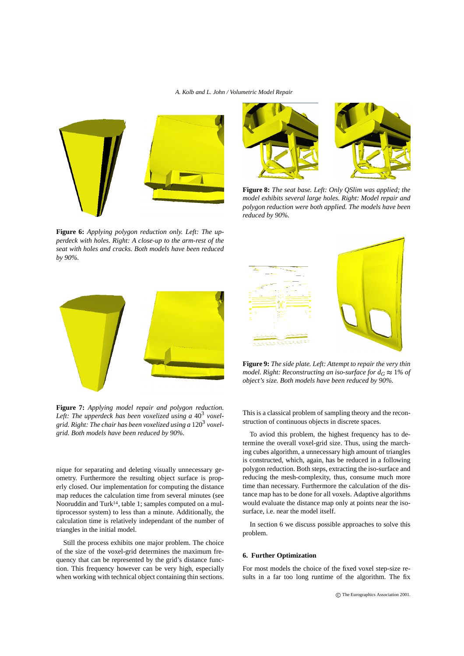

**Figure 6:** *Applying polygon reduction only. Left: The upperdeck with holes. Right: A close-up to the arm-rest of the seat with holes and cracks. Both models have been reduced by 90%.*



**Figure 7:** *Applying model repair and polygon reduction. Left: The upperdeck has been voxelized using a* 40<sup>3</sup> *voxelgrid. Right: The chair has been voxelized using a* 120<sup>3</sup> *voxelgrid. Both models have been reduced by 90%.*

nique for separating and deleting visually unnecessary geometry. Furthermore the resulting object surface is properly closed. Our implementation for computing the distance map reduces the calculation time from several minutes (see Nooruddin and Turk<sup>14</sup>, table 1; samples computed on a multiprocessor system) to less than a minute. Additionally, the calculation time is relatively independant of the number of triangles in the initial model.

Still the process exhibits one major problem. The choice of the size of the voxel-grid determines the maximum frequency that can be represented by the grid's distance function. This frequency however can be very high, especially when working with technical object containing thin sections.



**Figure 8:** *The seat base. Left: Only QSlim was applied; the model exhibits several large holes. Right: Model repair and polygon reduction were both applied. The models have been reduced by 90%.*



**Figure 9:** *The side plate. Left: Attempt to repair the very thin model. Right: Reconstructing an iso-surface for*  $d_G \approx 1\%$  *of object's size. Both models have been reduced by 90%.*

This is a classical problem of sampling theory and the reconstruction of continuous objects in discrete spaces.

To aviod this problem, the highest frequency has to determine the overall voxel-grid size. Thus, using the marching cubes algorithm, a unnecessary high amount of triangles is constructed, which, again, has be reduced in a following polygon reduction. Both steps, extracting the iso-surface and reducing the mesh-complexity, thus, consume much more time than necessary. Furthermore the calculation of the distance map has to be done for all voxels. Adaptive algorithms would evaluate the distance map only at points near the isosurface, i.e. near the model itself.

In section 6 we discuss possible approaches to solve this problem.

## **6. Further Optimization**

For most models the choice of the fixed voxel step-size results in a far too long runtime of the algorithm. The fix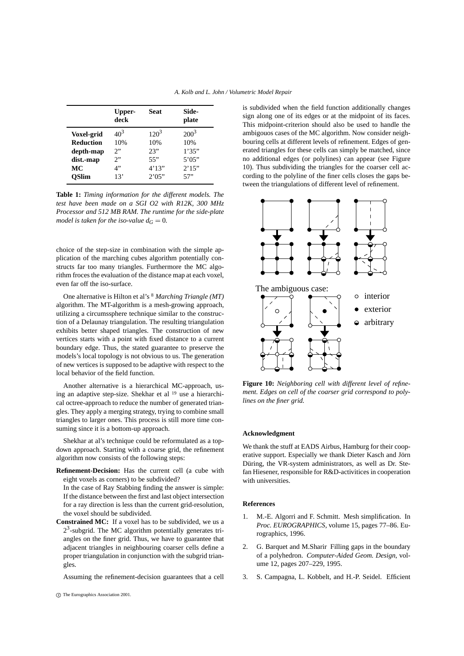|                   | Upper-<br>deck | Seat    | Side-<br>plate |
|-------------------|----------------|---------|----------------|
| <b>Voxel-grid</b> | $40^3$         | $120^3$ | $200^3$        |
| <b>Reduction</b>  | 10%            | 10%     | 10%            |
| depth-map         | 2              | 23"     | 1'35"          |
| dist.-map         | 2              | 55"     | 5'05"          |
| MC                | 4"             | 4'13''  | 2'15"          |
| <b>OSlim</b>      | 13'            | 2'05"   | 57"            |

**Table 1:** *Timing information for the different models. The test have been made on a SGI O2 with R12K, 300 MHz Processor and 512 MB RAM. The runtime for the side-plate model is taken for the iso-value*  $d_G = 0$ .

choice of the step-size in combination with the simple application of the marching cubes algorithm potentially constructs far too many triangles. Furthermore the MC algorithm froces the evaluation of the distance map at each voxel, even far off the iso-surface.

One alternative is Hilton et al's <sup>8</sup> *Marching Triangle (MT)* algorithm. The MT-algorithm is a mesh-growing approach, utilizing a circumssphere technique similar to the construction of a Delaunay triangulation. The resulting triangulation exhibits better shaped triangles. The construction of new vertices starts with a point with fixed distance to a current boundary edge. Thus, the stated guarantee to preserve the models's local topology is not obvious to us. The generation of new vertices is supposed to be adaptive with respect to the local behavior of the field function.

Another alternative is a hierarchical MC-approach, using an adaptive step-size. Shekhar et al <sup>19</sup> use a hierarchical octree-approach to reduce the number of generated triangles. They apply a merging strategy, trying to combine small triangles to larger ones. This process is still more time consuming since it is a bottom-up approach.

Shekhar at al's technique could be reformulated as a topdown approach. Starting with a coarse grid, the refinement algorithm now consists of the following steps:

**Refinement-Decision:** Has the current cell (a cube with eight voxels as corners) to be subdivided?

In the case of Ray Stabbing finding the answer is simple: If the distance between the first and last object intersection for a ray direction is less than the current grid-resolution, the voxel should be subdivided.

**Constrained MC:** If a voxel has to be subdivided, we us a  $2<sup>3</sup>$ -subgrid. The MC algorithm potentially generates triangles on the finer grid. Thus, we have to guarantee that adjacent triangles in neighbouring coarser cells define a proper triangulation in conjunction with the subgrid triangles.

Assuming the refinement-decision guarantees that a cell

c The Eurographics Association 2001.

is subdivided when the field function additionally changes sign along one of its edges or at the midpoint of its faces. This midpoint-criterion should also be used to handle the ambigouos cases of the MC algorithm. Now consider neighbouring cells at different levels of refinement. Edges of generated triangles for these cells can simply be matched, since no additional edges (or polylines) can appear (see Figure 10). Thus subdividing the triangles for the coarser cell according to the polyline of the finer cells closes the gaps between the triangulations of different level of refinement.



**Figure 10:** *Neighboring cell with different level of refinement. Edges on cell of the coarser grid correspond to polylines on the finer grid.*

# **Acknowledgment**

We thank the stuff at EADS Airbus, Hamburg for their cooperative support. Especially we thank Dieter Kasch and Jörn Düring, the VR-system administrators, as well as Dr. Stefan Hiesener, responsible for R&D-activitices in cooperation with universities.

# **References**

- 1. M.-E. Algorri and F. Schmitt. Mesh simplification. In *Proc. EUROGRAPHICS*, volume 15, pages 77–86. Eurographics, 1996.
- 2. G. Barquet and M.Sharir Filling gaps in the boundary of a polyhedron. *Computer-Aided Geom. Design*, volume 12, pages 207–229, 1995.
- 3. S. Campagna, L. Kobbelt, and H.-P. Seidel. Efficient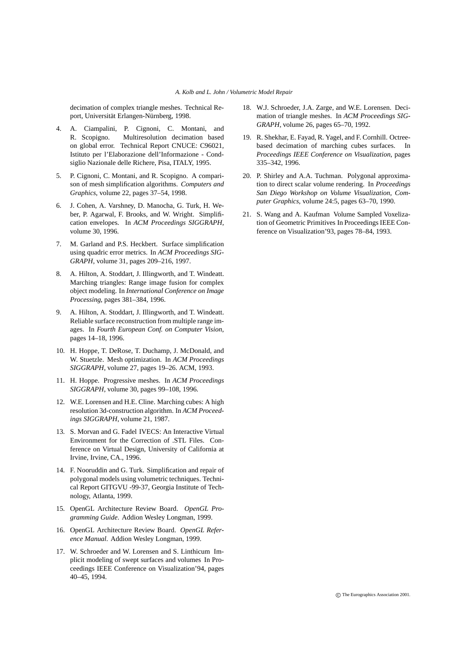decimation of complex triangle meshes. Technical Report, Universität Erlangen-Nürnberg, 1998.

- 4. A. Ciampalini, P. Cignoni, C. Montani, and R. Scopigno. Multiresolution decimation based on global error. Technical Report CNUCE: C96021, Istituto per l'Elaborazione dell'Informazione - Condsiglio Nazionale delle Richere, Pisa, ITALY, 1995.
- 5. P. Cignoni, C. Montani, and R. Scopigno. A comparison of mesh simplification algorithms. *Computers and Graphics*, volume 22, pages 37–54, 1998.
- 6. J. Cohen, A. Varshney, D. Manocha, G. Turk, H. Weber, P. Agarwal, F. Brooks, and W. Wright. Simplification envelopes. In *ACM Proceedings SIGGRAPH*, volume 30, 1996.
- 7. M. Garland and P.S. Heckbert. Surface simplification using quadric error metrics. In *ACM Proceedings SIG-GRAPH*, volume 31, pages 209–216, 1997.
- 8. A. Hilton, A. Stoddart, J. Illingworth, and T. Windeatt. Marching triangles: Range image fusion for complex object modeling. In *International Conference on Image Processing*, pages 381–384, 1996.
- 9. A. Hilton, A. Stoddart, J. Illingworth, and T. Windeatt. Reliable surface reconstruction from multiple range images. In *Fourth European Conf. on Computer Vision*, pages 14–18, 1996.
- 10. H. Hoppe, T. DeRose, T. Duchamp, J. McDonald, and W. Stuetzle. Mesh optimization. In *ACM Proceedings SIGGRAPH*, volume 27, pages 19–26. ACM, 1993.
- 11. H. Hoppe. Progressive meshes. In *ACM Proceedings SIGGRAPH*, volume 30, pages 99–108, 1996.
- 12. W.E. Lorensen and H.E. Cline. Marching cubes: A high resolution 3d-construction algorithm. In *ACM Proceedings SIGGRAPH*, volume 21, 1987.
- 13. S. Morvan and G. Fadel IVECS: An Interactive Virtual Environment for the Correction of .STL Files. Conference on Virtual Design, University of California at Irvine, Irvine, CA., 1996.
- 14. F. Nooruddin and G. Turk. Simplification and repair of polygonal models using volumetric techniques. Technical Report GITGVU -99-37, Georgia Institute of Technology, Atlanta, 1999.
- 15. OpenGL Architecture Review Board. *OpenGL Programming Guide*. Addion Wesley Longman, 1999.
- 16. OpenGL Architecture Review Board. *OpenGL Reference Manual*. Addion Wesley Longman, 1999.
- 17. W. Schroeder and W. Lorensen and S. Linthicum Implicit modeling of swept surfaces and volumes In Proceedings IEEE Conference on Visualization'94, pages 40–45, 1994.
- 18. W.J. Schroeder, J.A. Zarge, and W.E. Lorensen. Decimation of triangle meshes. In *ACM Proceedings SIG-GRAPH*, volume 26, pages 65–70, 1992.
- 19. R. Shekhar, E. Fayad, R. Yagel, and F. Cornhill. Octreebased decimation of marching cubes surfaces. In *Proceedings IEEE Conference on Visualization*, pages 335–342, 1996.
- 20. P. Shirley and A.A. Tuchman. Polygonal approximation to direct scalar volume rendering. In *Proceedings San Diego Workshop on Volume Visualization, Computer Graphics*, volume 24:5, pages 63–70, 1990.
- 21. S. Wang and A. Kaufman Volume Sampled Voxelization of Geometric Primitives In Proceedings IEEE Conference on Visualization'93, pages 78–84, 1993.